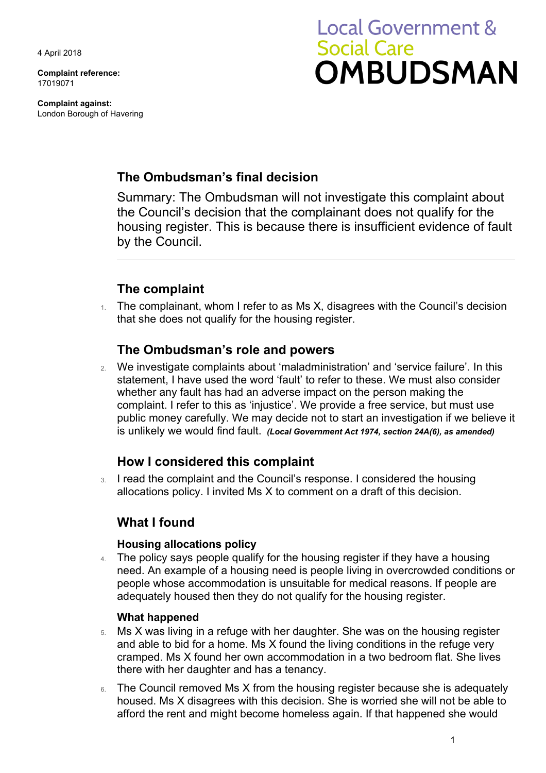4 April 2018

**Complaint reference:**  17019071

**Complaint against:**  London Borough of Havering

# **Local Government & Social Care OMBUDSMAN**

## **The Ombudsman's final decision**

Summary: The Ombudsman will not investigate this complaint about the Council's decision that the complainant does not qualify for the housing register. This is because there is insufficient evidence of fault by the Council.

# **The complaint**

 $1.$  The complainant, whom I refer to as Ms X, disagrees with the Council's decision that she does not qualify for the housing register.

#### **The Ombudsman's role and powers**

 public money carefully. We may decide not to start an investigation if we believe it 2. We investigate complaints about 'maladministration' and 'service failure'. In this statement, I have used the word 'fault' to refer to these. We must also consider whether any fault has had an adverse impact on the person making the complaint. I refer to this as 'injustice'. We provide a free service, but must use is unlikely we would find fault. *(Local Government Act 1974, section 24A(6), as amended)* 

## **How I considered this complaint**

3. I read the complaint and the Council's response. I considered the housing allocations policy. I invited Ms X to comment on a draft of this decision.

## **What I found**

#### **Housing allocations policy**

4. The policy says people qualify for the housing register if they have a housing need. An example of a housing need is people living in overcrowded conditions or people whose accommodation is unsuitable for medical reasons. If people are adequately housed then they do not qualify for the housing register.

#### **What happened**

- 5. Ms X was living in a refuge with her daughter. She was on the housing register and able to bid for a home. Ms X found the living conditions in the refuge very cramped. Ms X found her own accommodation in a two bedroom flat. She lives there with her daughter and has a tenancy.
- 6. The Council removed Ms X from the housing register because she is adequately housed. Ms X disagrees with this decision. She is worried she will not be able to afford the rent and might become homeless again. If that happened she would